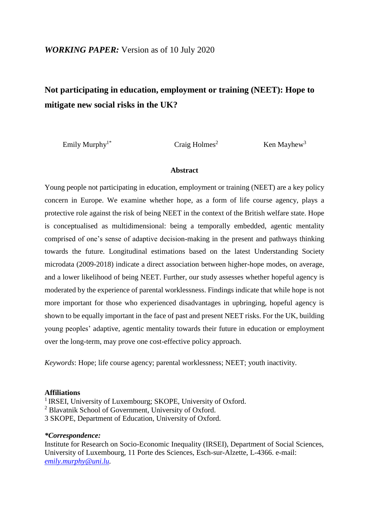# **Not participating in education, employment or training (NEET): Hope to mitigate new social risks in the UK?**

Emily Murphy<sup>1\*</sup> Craig Holmes<sup>2</sup> Ken Mayhew<sup>3</sup>

#### **Abstract**

Young people not participating in education, employment or training (NEET) are a key policy concern in Europe. We examine whether hope, as a form of life course agency, plays a protective role against the risk of being NEET in the context of the British welfare state. Hope is conceptualised as multidimensional: being a temporally embedded, agentic mentality comprised of one's sense of adaptive decision-making in the present and pathways thinking towards the future. Longitudinal estimations based on the latest Understanding Society microdata (2009-2018) indicate a direct association between higher-hope modes, on average, and a lower likelihood of being NEET. Further, our study assesses whether hopeful agency is moderated by the experience of parental worklessness. Findings indicate that while hope is not more important for those who experienced disadvantages in upbringing, hopeful agency is shown to be equally important in the face of past and present NEET risks. For the UK, building young peoples' adaptive, agentic mentality towards their future in education or employment over the long-term, may prove one cost-effective policy approach.

*Keywords*: Hope; life course agency; parental worklessness; NEET; youth inactivity*.*

#### **Affiliations**

<sup>1</sup> IRSEI, University of Luxembourg; SKOPE, University of Oxford.

<sup>2</sup> Blavatnik School of Government, University of Oxford.

3 SKOPE, Department of Education, University of Oxford.

#### *\*Correspondence:*

Institute for Research on Socio-Economic Inequality (IRSEI), Department of Social Sciences, University of Luxembourg, 11 Porte des Sciences, Esch-sur-Alzette, L-4366. e-mail: *[emily.murphy@uni.lu.](mailto:emily.murphy@uni.lu)*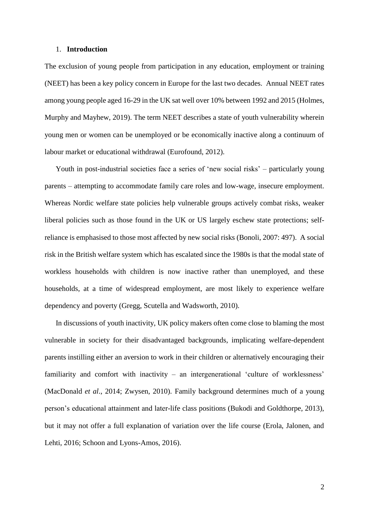#### 1. **Introduction**

The exclusion of young people from participation in any education, employment or training (NEET) has been a key policy concern in Europe for the last two decades. Annual NEET rates among young people aged 16-29 in the UK sat well over 10% between 1992 and 2015 (Holmes, Murphy and Mayhew, 2019). The term NEET describes a state of youth vulnerability wherein young men or women can be unemployed or be economically inactive along a continuum of labour market or educational withdrawal (Eurofound, 2012).

Youth in post-industrial societies face a series of 'new social risks' – particularly young parents – attempting to accommodate family care roles and low-wage, insecure employment. Whereas Nordic welfare state policies help vulnerable groups actively combat risks, weaker liberal policies such as those found in the UK or US largely eschew state protections; selfreliance is emphasised to those most affected by new social risks (Bonoli, 2007: 497). A social risk in the British welfare system which has escalated since the 1980s is that the modal state of workless households with children is now inactive rather than unemployed, and these households, at a time of widespread employment, are most likely to experience welfare dependency and poverty (Gregg, Scutella and Wadsworth, 2010).

In discussions of youth inactivity, UK policy makers often come close to blaming the most vulnerable in society for their disadvantaged backgrounds, implicating welfare-dependent parents instilling either an aversion to work in their children or alternatively encouraging their familiarity and comfort with inactivity – an intergenerational 'culture of worklessness' (MacDonald *et al*., 2014; Zwysen, 2010). Family background determines much of a young person's educational attainment and later-life class positions (Bukodi and Goldthorpe, 2013), but it may not offer a full explanation of variation over the life course (Erola, Jalonen, and Lehti, 2016; Schoon and Lyons-Amos, 2016).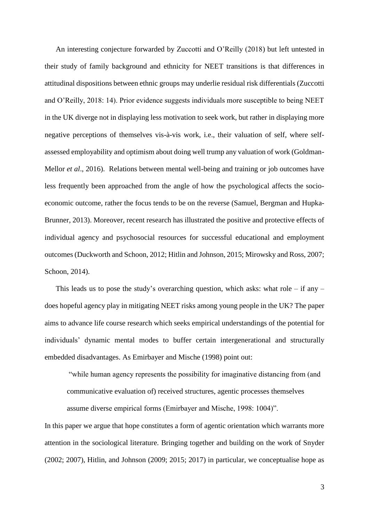An interesting conjecture forwarded by Zuccotti and O'Reilly (2018) but left untested in their study of family background and ethnicity for NEET transitions is that differences in attitudinal dispositions between ethnic groups may underlie residual risk differentials (Zuccotti and O'Reilly, 2018: 14). Prior evidence suggests individuals more susceptible to being NEET in the UK diverge not in displaying less motivation to seek work, but rather in displaying more negative perceptions of themselves vis-à-vis work, i.e., their valuation of self, where selfassessed employability and optimism about doing well trump any valuation of work (Goldman-Mellor *et al*., 2016). Relations between mental well-being and training or job outcomes have less frequently been approached from the angle of how the psychological affects the socioeconomic outcome, rather the focus tends to be on the reverse (Samuel, Bergman and Hupka-Brunner, 2013). Moreover, recent research has illustrated the positive and protective effects of individual agency and psychosocial resources for successful educational and employment outcomes (Duckworth and Schoon, 2012; Hitlin and Johnson, 2015; Mirowsky and Ross, 2007; Schoon, 2014).

This leads us to pose the study's overarching question, which asks: what role – if any – does hopeful agency play in mitigating NEET risks among young people in the UK? The paper aims to advance life course research which seeks empirical understandings of the potential for individuals' dynamic mental modes to buffer certain intergenerational and structurally embedded disadvantages. As Emirbayer and Mische (1998) point out:

"while human agency represents the possibility for imaginative distancing from (and communicative evaluation of) received structures, agentic processes themselves

assume diverse empirical forms (Emirbayer and Mische, 1998: 1004)".

In this paper we argue that hope constitutes a form of agentic orientation which warrants more attention in the sociological literature. Bringing together and building on the work of Snyder (2002; 2007), Hitlin, and Johnson (2009; 2015; 2017) in particular, we conceptualise hope as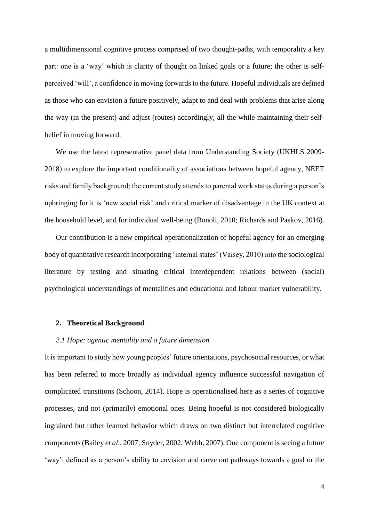a multidimensional cognitive process comprised of two thought-paths, with temporality a key part: one is a 'way' which is clarity of thought on linked goals or a future; the other is selfperceived 'will', a confidence in moving forwards to the future. Hopeful individuals are defined as those who can envision a future positively, adapt to and deal with problems that arise along the way (in the present) and adjust (routes) accordingly, all the while maintaining their selfbelief in moving forward.

We use the latest representative panel data from Understanding Society (UKHLS 2009- 2018) to explore the important conditionality of associations between hopeful agency, NEET risks and family background; the current study attends to parental work status during a person's upbringing for it is 'new social risk' and critical marker of disadvantage in the UK context at the household level, and for individual well-being (Bonoli, 2010; Richards and Paskov, 2016).

Our contribution is a new empirical operationalization of hopeful agency for an emerging body of quantitative research incorporating 'internal states' (Vaisey, 2010) into the sociological literature by testing and situating critical interdependent relations between (social) psychological understandings of mentalities and educational and labour market vulnerability.

#### **2. Theoretical Background**

#### *2.1 Hope: agentic mentality and a future dimension*

It is important to study how young peoples' future orientations, psychosocial resources, or what has been referred to more broadly as individual agency influence successful navigation of complicated transitions (Schoon, 2014). Hope is operationalised here as a series of cognitive processes, and not (primarily) emotional ones. Being hopeful is not considered biologically ingrained but rather learned behavior which draws on two distinct but interrelated cognitive components (Bailey *et al*., 2007; Snyder, 2002; Webb, 2007). One component is seeing a future 'way': defined as a person's ability to envision and carve out pathways towards a goal or the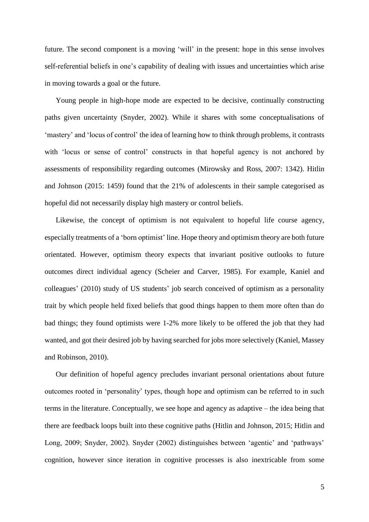future. The second component is a moving 'will' in the present: hope in this sense involves self-referential beliefs in one's capability of dealing with issues and uncertainties which arise in moving towards a goal or the future.

Young people in high-hope mode are expected to be decisive, continually constructing paths given uncertainty (Snyder, 2002). While it shares with some conceptualisations of 'mastery' and 'locus of control' the idea of learning how to think through problems, it contrasts with 'locus or sense of control' constructs in that hopeful agency is not anchored by assessments of responsibility regarding outcomes (Mirowsky and Ross, 2007: 1342). Hitlin and Johnson (2015: 1459) found that the 21% of adolescents in their sample categorised as hopeful did not necessarily display high mastery or control beliefs.

Likewise, the concept of optimism is not equivalent to hopeful life course agency, especially treatments of a 'born optimist' line. Hope theory and optimism theory are both future orientated. However, optimism theory expects that invariant positive outlooks to future outcomes direct individual agency (Scheier and Carver, 1985). For example, Kaniel and colleagues' (2010) study of US students' job search conceived of optimism as a personality trait by which people held fixed beliefs that good things happen to them more often than do bad things; they found optimists were 1-2% more likely to be offered the job that they had wanted, and got their desired job by having searched for jobs more selectively (Kaniel, Massey and Robinson, 2010).

Our definition of hopeful agency precludes invariant personal orientations about future outcomes rooted in 'personality' types, though hope and optimism can be referred to in such terms in the literature. Conceptually, we see hope and agency as adaptive – the idea being that there are feedback loops built into these cognitive paths (Hitlin and Johnson, 2015; Hitlin and Long, 2009; Snyder, 2002). Snyder (2002) distinguishes between 'agentic' and 'pathways' cognition, however since iteration in cognitive processes is also inextricable from some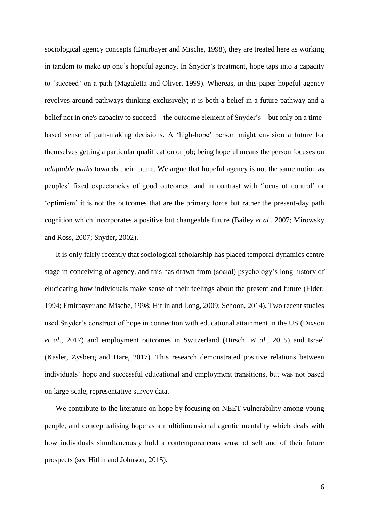sociological agency concepts (Emirbayer and Mische, 1998), they are treated here as working in tandem to make up one's hopeful agency. In Snyder's treatment, hope taps into a capacity to 'succeed' on a path (Magaletta and Oliver, 1999). Whereas, in this paper hopeful agency revolves around pathways-thinking exclusively; it is both a belief in a future pathway and a belief not in one's capacity to succeed – the outcome element of Snyder's – but only on a timebased sense of path-making decisions. A 'high-hope' person might envision a future for themselves getting a particular qualification or job; being hopeful means the person focuses on *adaptable paths* towards their future. We argue that hopeful agency is not the same notion as peoples' fixed expectancies of good outcomes, and in contrast with 'locus of control' or 'optimism' it is not the outcomes that are the primary force but rather the present-day path cognition which incorporates a positive but changeable future (Bailey *et al*., 2007; Mirowsky and Ross, 2007; Snyder, 2002).

It is only fairly recently that sociological scholarship has placed temporal dynamics centre stage in conceiving of agency, and this has drawn from (social) psychology's long history of elucidating how individuals make sense of their feelings about the present and future (Elder, 1994; Emirbayer and Mische, 1998; Hitlin and Long, 2009; Schoon, 2014)**.** Two recent studies used Snyder's construct of hope in connection with educational attainment in the US (Dixson *et al*., 2017) and employment outcomes in Switzerland (Hirschi *et al*., 2015) and Israel (Kasler, Zysberg and Hare, 2017). This research demonstrated positive relations between individuals' hope and successful educational and employment transitions, but was not based on large-scale, representative survey data.

We contribute to the literature on hope by focusing on NEET vulnerability among young people, and conceptualising hope as a multidimensional agentic mentality which deals with how individuals simultaneously hold a contemporaneous sense of self and of their future prospects (see Hitlin and Johnson, 2015).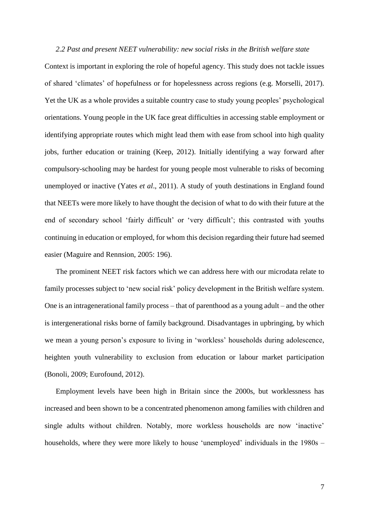*2.2 Past and present NEET vulnerability: new social risks in the British welfare state* Context is important in exploring the role of hopeful agency. This study does not tackle issues of shared 'climates' of hopefulness or for hopelessness across regions (e.g. Morselli, 2017). Yet the UK as a whole provides a suitable country case to study young peoples' psychological orientations. Young people in the UK face great difficulties in accessing stable employment or identifying appropriate routes which might lead them with ease from school into high quality jobs, further education or training (Keep, 2012). Initially identifying a way forward after compulsory-schooling may be hardest for young people most vulnerable to risks of becoming unemployed or inactive (Yates *et al*., 2011). A study of youth destinations in England found that NEETs were more likely to have thought the decision of what to do with their future at the end of secondary school 'fairly difficult' or 'very difficult'; this contrasted with youths continuing in education or employed, for whom this decision regarding their future had seemed easier (Maguire and Rennsion, 2005: 196).

The prominent NEET risk factors which we can address here with our microdata relate to family processes subject to 'new social risk' policy development in the British welfare system. One is an intragenerational family process – that of parenthood as a young adult – and the other is intergenerational risks borne of family background. Disadvantages in upbringing, by which we mean a young person's exposure to living in 'workless' households during adolescence, heighten youth vulnerability to exclusion from education or labour market participation (Bonoli, 2009; Eurofound, 2012).

Employment levels have been high in Britain since the 2000s, but worklessness has increased and been shown to be a concentrated phenomenon among families with children and single adults without children. Notably, more workless households are now 'inactive' households, where they were more likely to house 'unemployed' individuals in the 1980s –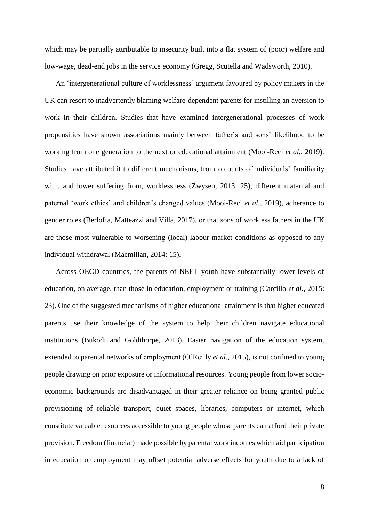which may be partially attributable to insecurity built into a flat system of (poor) welfare and low-wage, dead-end jobs in the service economy (Gregg, Scutella and Wadsworth, 2010).

An 'intergenerational culture of worklessness' argument favoured by policy makers in the UK can resort to inadvertently blaming welfare-dependent parents for instilling an aversion to work in their children. Studies that have examined intergenerational processes of work propensities have shown associations mainly between father's and sons' likelihood to be working from one generation to the next or educational attainment (Mooi-Reci *et al.*, 2019). Studies have attributed it to different mechanisms, from accounts of individuals' familiarity with, and lower suffering from, worklessness (Zwysen, 2013: 25), different maternal and paternal 'work ethics' and children's changed values (Mooi-Reci *et al.*, 2019), adherance to gender roles (Berloffa, Matteazzi and Villa, 2017), or that sons of workless fathers in the UK are those most vulnerable to worsening (local) labour market conditions as opposed to any individual withdrawal (Macmillan, 2014: 15).

Across OECD countries, the parents of NEET youth have substantially lower levels of education, on average, than those in education, employment or training (Carcillo *et al.,* 2015: 23). One of the suggested mechanisms of higher educational attainment is that higher educated parents use their knowledge of the system to help their children navigate educational institutions (Bukodi and Goldthorpe, 2013). Easier navigation of the education system, extended to parental networks of employment (O'Reilly *et al*., 2015), is not confined to young people drawing on prior exposure or informational resources. Young people from lower socioeconomic backgrounds are disadvantaged in their greater reliance on being granted public provisioning of reliable transport, quiet spaces, libraries, computers or internet, which constitute valuable resources accessible to young people whose parents can afford their private provision. Freedom (financial) made possible by parental work incomes which aid participation in education or employment may offset potential adverse effects for youth due to a lack of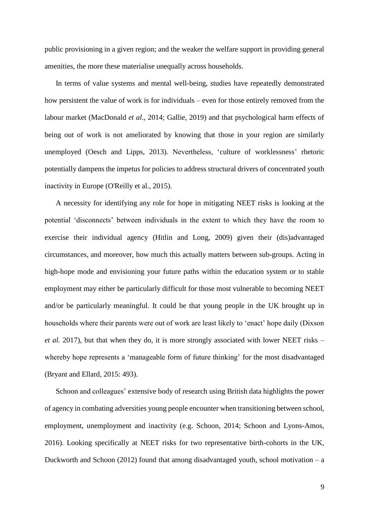public provisioning in a given region; and the weaker the welfare support in providing general amenities, the more these materialise unequally across households.

In terms of value systems and mental well-being, studies have repeatedly demonstrated how persistent the value of work is for individuals – even for those entirely removed from the labour market (MacDonald *et al*., 2014; Gallie, 2019) and that psychological harm effects of being out of work is not ameliorated by knowing that those in your region are similarly unemployed (Oesch and Lipps, 2013). Nevertheless, 'culture of worklessness' rhetoric potentially dampens the impetus for policies to address structural drivers of concentrated youth inactivity in Europe (O'Reilly et al., 2015).

A necessity for identifying any role for hope in mitigating NEET risks is looking at the potential 'disconnects' between individuals in the extent to which they have the room to exercise their individual agency (Hitlin and Long, 2009) given their (dis)advantaged circumstances, and moreover, how much this actually matters between sub-groups. Acting in high-hope mode and envisioning your future paths within the education system or to stable employment may either be particularly difficult for those most vulnerable to becoming NEET and/or be particularly meaningful. It could be that young people in the UK brought up in households where their parents were out of work are least likely to 'enact' hope daily (Dixson *et al.* 2017), but that when they do, it is more strongly associated with lower NEET risks – whereby hope represents a 'manageable form of future thinking' for the most disadvantaged (Bryant and Ellard, 2015: 493).

Schoon and colleagues' extensive body of research using British data highlights the power of agency in combating adversities young people encounter when transitioning between school, employment, unemployment and inactivity (e.g. Schoon, 2014; Schoon and Lyons-Amos, 2016). Looking specifically at NEET risks for two representative birth-cohorts in the UK, Duckworth and Schoon (2012) found that among disadvantaged youth, school motivation – a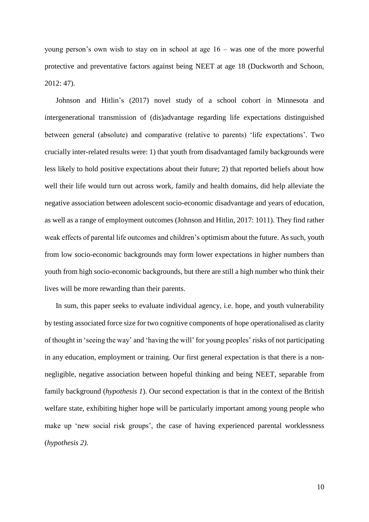young person's own wish to stay on in school at age 16 – was one of the more powerful protective and preventative factors against being NEET at age 18 (Duckworth and Schoon, 2012: 47).

Johnson and Hitlin's (2017) novel study of a school cohort in Minnesota and intergenerational transmission of (dis)advantage regarding life expectations distinguished between general (absolute) and comparative (relative to parents) 'life expectations'. Two crucially inter-related results were: 1) that youth from disadvantaged family backgrounds were less likely to hold positive expectations about their future; 2) that reported beliefs about how well their life would turn out across work, family and health domains, did help alleviate the negative association between adolescent socio-economic disadvantage and years of education, as well as a range of employment outcomes (Johnson and Hitlin, 2017: 1011). They find rather weak effects of parental life outcomes and children's optimism about the future. As such, youth from low socio-economic backgrounds may form lower expectations in higher numbers than youth from high socio-economic backgrounds, but there are still a high number who think their lives will be more rewarding than their parents.

In sum, this paper seeks to evaluate individual agency, i.e. hope, and youth vulnerability by testing associated force size for two cognitive components of hope operationalised as clarity of thought in 'seeing the way' and 'having the will' for young peoples' risks of not participating in any education, employment or training. Our first general expectation is that there is a nonnegligible, negative association between hopeful thinking and being NEET, separable from family background (*hypothesis 1*). Our second expectation is that in the context of the British welfare state, exhibiting higher hope will be particularly important among young people who make up 'new social risk groups', the case of having experienced parental worklessness (*hypothesis 2)*.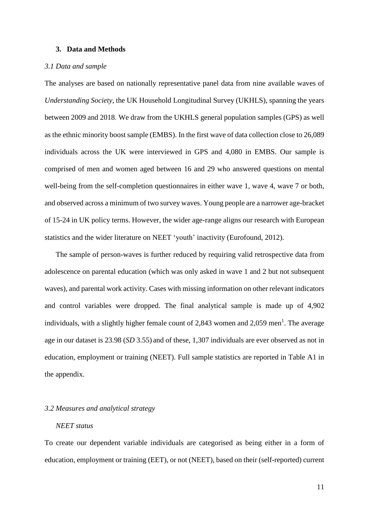#### **3. Data and Methods**

#### *3.1 Data and sample*

The analyses are based on nationally representative panel data from nine available waves of *Understanding Society,* the UK Household Longitudinal Survey (UKHLS), spanning the years between 2009 and 2018. We draw from the UKHLS general population samples (GPS) as well as the ethnic minority boost sample (EMBS). In the first wave of data collection close to 26,089 individuals across the UK were interviewed in GPS and 4,080 in EMBS. Our sample is comprised of men and women aged between 16 and 29 who answered questions on mental well-being from the self-completion questionnaires in either wave 1, wave 4, wave 7 or both, and observed across a minimum of two survey waves. Young people are a narrower age-bracket of 15-24 in UK policy terms. However, the wider age-range aligns our research with European statistics and the wider literature on NEET 'youth' inactivity (Eurofound, 2012).

The sample of person-waves is further reduced by requiring valid retrospective data from adolescence on parental education (which was only asked in wave 1 and 2 but not subsequent waves), and parental work activity. Cases with missing information on other relevant indicators and control variables were dropped. The final analytical sample is made up of 4,902 individuals, with a slightly higher female count of 2,843 women and 2,059 men<sup>1</sup>. The average age in our dataset is 23.98 (*SD* 3.55) and of these, 1,307 individuals are ever observed as not in education, employment or training (NEET). Full sample statistics are reported in Table A1 in the appendix.

#### *3.2 Measures and analytical strategy*

#### *NEET status*

To create our dependent variable individuals are categorised as being either in a form of education, employment or training (EET), or not (NEET), based on their (self-reported) current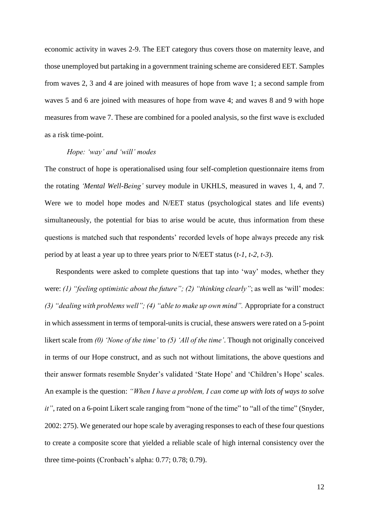economic activity in waves 2-9. The EET category thus covers those on maternity leave, and those unemployed but partaking in a government training scheme are considered EET. Samples from waves 2, 3 and 4 are joined with measures of hope from wave 1; a second sample from waves 5 and 6 are joined with measures of hope from wave 4; and waves 8 and 9 with hope measures from wave 7. These are combined for a pooled analysis, so the first wave is excluded as a risk time-point.

#### *Hope: 'way' and 'will' modes*

The construct of hope is operationalised using four self-completion questionnaire items from the rotating *'Mental Well-Being'* survey module in UKHLS, measured in waves 1, 4, and 7. Were we to model hope modes and N/EET status (psychological states and life events) simultaneously, the potential for bias to arise would be acute, thus information from these questions is matched such that respondents' recorded levels of hope always precede any risk period by at least a year up to three years prior to N/EET status (*t-1, t-2, t-3*).

Respondents were asked to complete questions that tap into 'way' modes, whether they were: *(1) "feeling optimistic about the future"; (2) "thinking clearly"*; as well as 'will' modes: *(3) "dealing with problems well"; (4) "able to make up own mind".* Appropriate for a construct in which assessment in terms of temporal-units is crucial, these answers were rated on a 5-point likert scale from *(0) 'None of the time'* to *(5) 'All of the time'*. Though not originally conceived in terms of our Hope construct, and as such not without limitations, the above questions and their answer formats resemble Snyder's validated 'State Hope' and 'Children's Hope' scales. An example is the question: *"When I have a problem, I can come up with lots of ways to solve it"*, rated on a 6-point Likert scale ranging from "none of the time" to "all of the time" (Snyder, 2002: 275). We generated our hope scale by averaging responses to each of these four questions to create a composite score that yielded a reliable scale of high internal consistency over the three time-points (Cronbach's alpha: 0.77; 0.78; 0.79).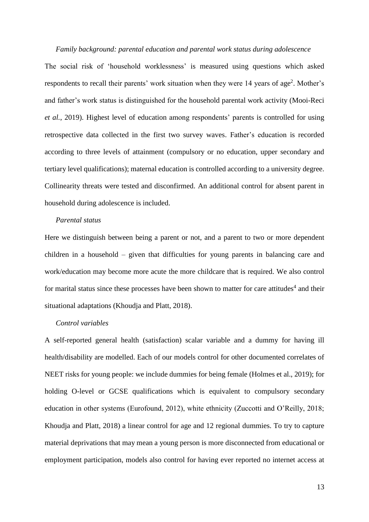*Family background: parental education and parental work status during adolescence* The social risk of 'household worklessness' is measured using questions which asked respondents to recall their parents' work situation when they were 14 years of age<sup>2</sup>. Mother's and father's work status is distinguished for the household parental work activity (Mooi-Reci *et al.*, 2019). Highest level of education among respondents' parents is controlled for using retrospective data collected in the first two survey waves. Father's education is recorded according to three levels of attainment (compulsory or no education, upper secondary and tertiary level qualifications); maternal education is controlled according to a university degree. Collinearity threats were tested and disconfirmed. An additional control for absent parent in household during adolescence is included.

### *Parental status*

Here we distinguish between being a parent or not, and a parent to two or more dependent children in a household – given that difficulties for young parents in balancing care and work/education may become more acute the more childcare that is required. We also control for marital status since these processes have been shown to matter for care attitudes<sup>4</sup> and their situational adaptations (Khoudja and Platt, 2018).

## *Control variables*

A self-reported general health (satisfaction) scalar variable and a dummy for having ill health/disability are modelled. Each of our models control for other documented correlates of NEET risks for young people: we include dummies for being female (Holmes et al., 2019); for holding O-level or GCSE qualifications which is equivalent to compulsory secondary education in other systems (Eurofound, 2012), white ethnicity (Zuccotti and O'Reilly, 2018; Khoudja and Platt, 2018) a linear control for age and 12 regional dummies. To try to capture material deprivations that may mean a young person is more disconnected from educational or employment participation, models also control for having ever reported no internet access at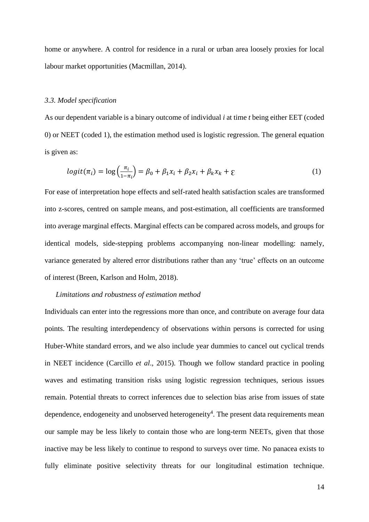home or anywhere. A control for residence in a rural or urban area loosely proxies for local labour market opportunities (Macmillan, 2014).

#### *3.3. Model specification*

As our dependent variable is a binary outcome of individual *i* at time *t* being either EET (coded 0) or NEET (coded 1), the estimation method used is logistic regression. The general equation is given as:

$$
logit(\pi_i) = log\left(\frac{\pi_i}{1-\pi_i}\right) = \beta_0 + \beta_1 x_i + \beta_2 x_i + \beta_k x_k + \varepsilon
$$
\n(1)

For ease of interpretation hope effects and self-rated health satisfaction scales are transformed into z-scores, centred on sample means, and post-estimation, all coefficients are transformed into average marginal effects. Marginal effects can be compared across models, and groups for identical models, side-stepping problems accompanying non-linear modelling: namely, variance generated by altered error distributions rather than any 'true' effects on an outcome of interest (Breen, Karlson and Holm, 2018).

#### *Limitations and robustness of estimation method*

Individuals can enter into the regressions more than once, and contribute on average four data points. The resulting interdependency of observations within persons is corrected for using Huber-White standard errors, and we also include year dummies to cancel out cyclical trends in NEET incidence (Carcillo *et al*., 2015). Though we follow standard practice in pooling waves and estimating transition risks using logistic regression techniques, serious issues remain. Potential threats to correct inferences due to selection bias arise from issues of state dependence, endogeneity and unobserved heterogeneity<sup>4</sup>. The present data requirements mean our sample may be less likely to contain those who are long-term NEETs, given that those inactive may be less likely to continue to respond to surveys over time. No panacea exists to fully eliminate positive selectivity threats for our longitudinal estimation technique.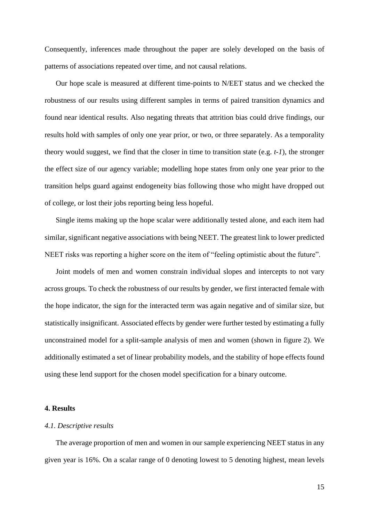Consequently, inferences made throughout the paper are solely developed on the basis of patterns of associations repeated over time, and not causal relations.

Our hope scale is measured at different time-points to N/EET status and we checked the robustness of our results using different samples in terms of paired transition dynamics and found near identical results. Also negating threats that attrition bias could drive findings, our results hold with samples of only one year prior, or two, or three separately. As a temporality theory would suggest, we find that the closer in time to transition state (e.g. *t-1*), the stronger the effect size of our agency variable; modelling hope states from only one year prior to the transition helps guard against endogeneity bias following those who might have dropped out of college, or lost their jobs reporting being less hopeful.

Single items making up the hope scalar were additionally tested alone, and each item had similar, significant negative associations with being NEET. The greatest link to lower predicted NEET risks was reporting a higher score on the item of "feeling optimistic about the future".

Joint models of men and women constrain individual slopes and intercepts to not vary across groups. To check the robustness of our results by gender, we first interacted female with the hope indicator, the sign for the interacted term was again negative and of similar size, but statistically insignificant. Associated effects by gender were further tested by estimating a fully unconstrained model for a split-sample analysis of men and women (shown in figure 2). We additionally estimated a set of linear probability models, and the stability of hope effects found using these lend support for the chosen model specification for a binary outcome.

#### **4. Results**

#### *4.1. Descriptive results*

The average proportion of men and women in our sample experiencing NEET status in any given year is 16%. On a scalar range of 0 denoting lowest to 5 denoting highest, mean levels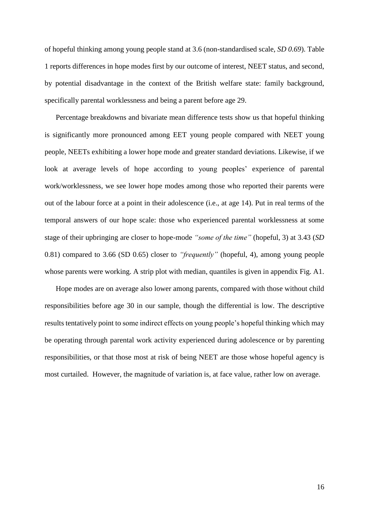of hopeful thinking among young people stand at 3.6 (non-standardised scale, *SD 0.69*). Table 1 reports differences in hope modes first by our outcome of interest, NEET status, and second, by potential disadvantage in the context of the British welfare state: family background, specifically parental worklessness and being a parent before age 29.

Percentage breakdowns and bivariate mean difference tests show us that hopeful thinking is significantly more pronounced among EET young people compared with NEET young people, NEETs exhibiting a lower hope mode and greater standard deviations. Likewise, if we look at average levels of hope according to young peoples' experience of parental work/worklessness, we see lower hope modes among those who reported their parents were out of the labour force at a point in their adolescence (i.e., at age 14). Put in real terms of the temporal answers of our hope scale: those who experienced parental worklessness at some stage of their upbringing are closer to hope-mode *"some of the time"* (hopeful, 3) at 3.43 (*SD* 0.81) compared to 3.66 (SD 0.65) closer to *"frequently"* (hopeful, 4), among young people whose parents were working. A strip plot with median, quantiles is given in appendix Fig. A1.

Hope modes are on average also lower among parents, compared with those without child responsibilities before age 30 in our sample, though the differential is low. The descriptive results tentatively point to some indirect effects on young people's hopeful thinking which may be operating through parental work activity experienced during adolescence or by parenting responsibilities, or that those most at risk of being NEET are those whose hopeful agency is most curtailed. However, the magnitude of variation is, at face value, rather low on average.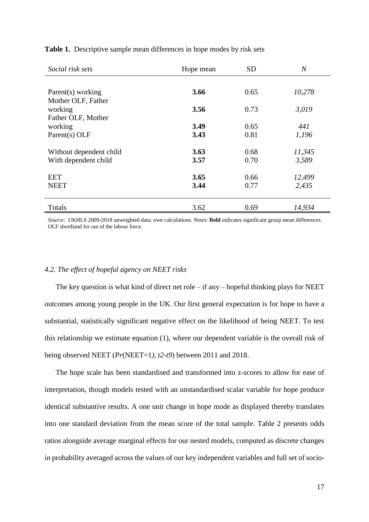| Social risk sets        | Hope mean | <b>SD</b> | $\overline{N}$ |  |
|-------------------------|-----------|-----------|----------------|--|
|                         |           |           |                |  |
| Parent(s) working       | 3.66      | 0.65      | 10,278         |  |
| Mother OLF, Father      |           |           |                |  |
| working                 | 3.56      | 0.73      | 3,019          |  |
| Father OLF, Mother      |           |           |                |  |
| working                 | 3.49      | 0.65      | 441            |  |
| Parent(s) OLF           | 3.43      | 0.81      | 1,196          |  |
|                         |           |           |                |  |
| Without dependent child | 3.63      | 0.68      | 11,345         |  |
| With dependent child    | 3.57      | 0.70      | 3,589          |  |
|                         |           |           |                |  |
| EET                     | 3.65      | 0.66      | 12,499         |  |
| <b>NEET</b>             | 3.44      | 0.77      | 2,435          |  |
| Totals                  | 3.62      | 0.69      | 14,934         |  |
|                         |           |           |                |  |

**Table 1.** Descriptive sample mean differences in hope modes by risk sets

*Source:* UKHLS 2009-2018 unweighted data; own calculations. *Notes*: **Bold** indicates significant group mean differences. OLF shorthand for out of the labour force.

#### *4.2. The effect of hopeful agency on NEET risks*

The key question is what kind of direct net role – if any – hopeful thinking plays for NEET outcomes among young people in the UK. Our first general expectation is for hope to have a substantial, statistically significant negative effect on the likelihood of being NEET. To test this relationship we estimate equation (1), where our dependent variable is the overall risk of being observed NEET (*Pr*(NEET=1*), t2-t9*) between 2011 and 2018.

The hope scale has been standardised and transformed into z-scores to allow for ease of interpretation, though models tested with an unstandardised scalar variable for hope produce identical substantive results. A one unit change in hope mode as displayed thereby translates into one standard deviation from the mean score of the total sample. Table 2 presents odds ratios alongside average marginal effects for our nested models, computed as discrete changes in probability averaged across the values of our key independent variables and full set of socio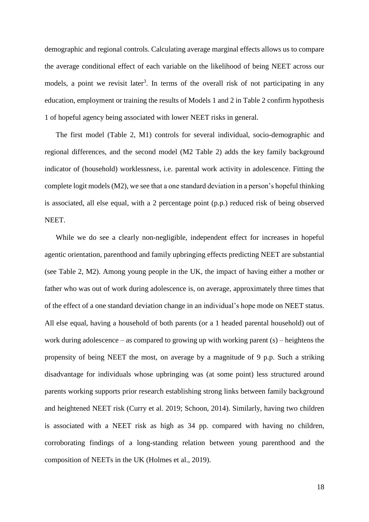demographic and regional controls. Calculating average marginal effects allows us to compare the average conditional effect of each variable on the likelihood of being NEET across our models, a point we revisit later<sup>3</sup>. In terms of the overall risk of not participating in any education, employment or training the results of Models 1 and 2 in Table 2 confirm hypothesis 1 of hopeful agency being associated with lower NEET risks in general.

The first model (Table 2, M1) controls for several individual, socio-demographic and regional differences, and the second model (M2 Table 2) adds the key family background indicator of (household) worklessness, i.e. parental work activity in adolescence. Fitting the complete logit models (M2), we see that a one standard deviation in a person's hopeful thinking is associated, all else equal, with a 2 percentage point (p.p.) reduced risk of being observed NEET.

While we do see a clearly non-negligible, independent effect for increases in hopeful agentic orientation, parenthood and family upbringing effects predicting NEET are substantial (see Table 2, M2). Among young people in the UK, the impact of having either a mother or father who was out of work during adolescence is, on average, approximately three times that of the effect of a one standard deviation change in an individual's hope mode on NEET status. All else equal, having a household of both parents (or a 1 headed parental household) out of work during adolescence – as compared to growing up with working parent (s) – heightens the propensity of being NEET the most, on average by a magnitude of 9 p.p. Such a striking disadvantage for individuals whose upbringing was (at some point) less structured around parents working supports prior research establishing strong links between family background and heightened NEET risk (Curry et al. 2019; Schoon, 2014). Similarly, having two children is associated with a NEET risk as high as 34 pp. compared with having no children, corroborating findings of a long-standing relation between young parenthood and the composition of NEETs in the UK (Holmes et al., 2019).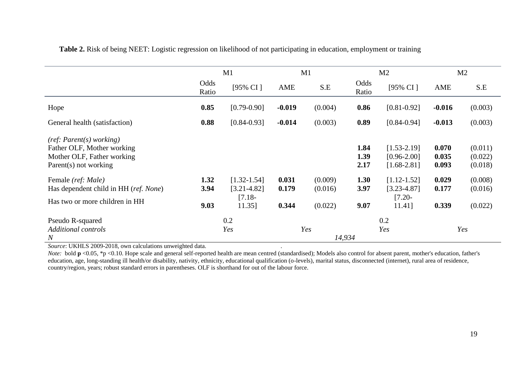|                                                                                                               | M1                   |                                                          | M1                      |                               | M <sub>2</sub>       |                                                          | M <sub>2</sub>          |                               |
|---------------------------------------------------------------------------------------------------------------|----------------------|----------------------------------------------------------|-------------------------|-------------------------------|----------------------|----------------------------------------------------------|-------------------------|-------------------------------|
|                                                                                                               | Odds<br>Ratio        | [95% CI]                                                 | AME                     | S.E                           | Odds<br>Ratio        | [95% CI]                                                 | AME                     | S.E                           |
| Hope                                                                                                          | 0.85                 | $[0.79 - 0.90]$                                          | $-0.019$                | (0.004)                       | 0.86                 | $[0.81 - 0.92]$                                          | $-0.016$                | (0.003)                       |
| General health (satisfaction)                                                                                 | 0.88                 | $[0.84 - 0.93]$                                          | $-0.014$                | (0.003)                       | 0.89                 | $[0.84 - 0.94]$                                          | $-0.013$                | (0.003)                       |
| (ref: Parent(s) working)<br>Father OLF, Mother working<br>Mother OLF, Father working<br>Parent(s) not working |                      |                                                          |                         |                               | 1.84<br>1.39<br>2.17 | $[1.53 - 2.19]$<br>$[0.96 - 2.00]$<br>$[1.68 - 2.81]$    | 0.070<br>0.035<br>0.093 | (0.011)<br>(0.022)<br>(0.018) |
| Female (ref: Male)<br>Has dependent child in HH (ref. None)<br>Has two or more children in HH                 | 1.32<br>3.94<br>9.03 | $[1.32 - 1.54]$<br>$[3.21 - 4.82]$<br>$[7.18-$<br>11.35] | 0.031<br>0.179<br>0.344 | (0.009)<br>(0.016)<br>(0.022) | 1.30<br>3.97<br>9.07 | $[1.12 - 1.52]$<br>$[3.23 - 4.87]$<br>$[7.20-$<br>11.41] | 0.029<br>0.177<br>0.339 | (0.008)<br>(0.016)<br>(0.022) |
| Pseudo R-squared<br><b>Additional controls</b><br>$\boldsymbol{N}$                                            |                      | 0.2<br>Yes                                               |                         | Yes<br>14,934                 |                      | 0.2<br>Yes                                               |                         | Yes                           |

**Table 2.** Risk of being NEET: Logistic regression on likelihood of not participating in education, employment or training

*Source*: UKHLS 2009-2018, own calculations unweighted data. .

*Note*: bold **p** <0.05, \*p <0.10. Hope scale and general self-reported health are mean centred (standardised); Models also control for absent parent, mother's education, father's education, age, long-standing ill health/or disability, nativity, ethnicity, educational qualification (o-levels), marital status, disconnected (internet), rural area of residence, country/region, years; robust standard errors in parentheses. OLF is shorthand for out of the labour force.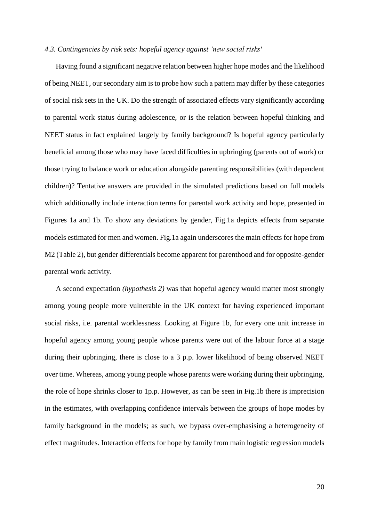#### *4.3. Contingencies by risk sets: hopeful agency against 'new social risks'*

Having found a significant negative relation between higher hope modes and the likelihood of being NEET, our secondary aim is to probe how such a pattern may differ by these categories of social risk sets in the UK. Do the strength of associated effects vary significantly according to parental work status during adolescence, or is the relation between hopeful thinking and NEET status in fact explained largely by family background? Is hopeful agency particularly beneficial among those who may have faced difficulties in upbringing (parents out of work) or those trying to balance work or education alongside parenting responsibilities (with dependent children)? Tentative answers are provided in the simulated predictions based on full models which additionally include interaction terms for parental work activity and hope, presented in Figures 1a and 1b. To show any deviations by gender, Fig.1a depicts effects from separate models estimated for men and women. Fig.1a again underscores the main effects for hope from M2 (Table 2), but gender differentials become apparent for parenthood and for opposite-gender parental work activity.

A second expectation *(hypothesis 2)* was that hopeful agency would matter most strongly among young people more vulnerable in the UK context for having experienced important social risks, i.e. parental worklessness. Looking at Figure 1b, for every one unit increase in hopeful agency among young people whose parents were out of the labour force at a stage during their upbringing, there is close to a 3 p.p. lower likelihood of being observed NEET over time. Whereas, among young people whose parents were working during their upbringing, the role of hope shrinks closer to 1p.p. However, as can be seen in Fig.1b there is imprecision in the estimates, with overlapping confidence intervals between the groups of hope modes by family background in the models; as such, we bypass over-emphasising a heterogeneity of effect magnitudes. Interaction effects for hope by family from main logistic regression models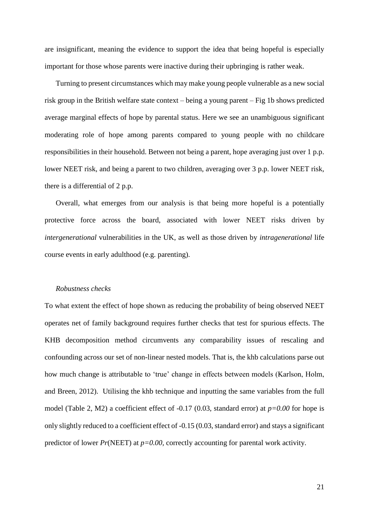are insignificant, meaning the evidence to support the idea that being hopeful is especially important for those whose parents were inactive during their upbringing is rather weak.

Turning to present circumstances which may make young people vulnerable as a new social risk group in the British welfare state context – being a young parent – Fig 1b shows predicted average marginal effects of hope by parental status. Here we see an unambiguous significant moderating role of hope among parents compared to young people with no childcare responsibilities in their household. Between not being a parent, hope averaging just over 1 p.p. lower NEET risk, and being a parent to two children, averaging over 3 p.p. lower NEET risk, there is a differential of 2 p.p.

Overall, what emerges from our analysis is that being more hopeful is a potentially protective force across the board, associated with lower NEET risks driven by *intergenerational* vulnerabilities in the UK, as well as those driven by *intragenerational* life course events in early adulthood (e.g. parenting).

#### *Robustness checks*

To what extent the effect of hope shown as reducing the probability of being observed NEET operates net of family background requires further checks that test for spurious effects. The KHB decomposition method circumvents any comparability issues of rescaling and confounding across our set of non-linear nested models. That is, the khb calculations parse out how much change is attributable to 'true' change in effects between models (Karlson, Holm, and Breen, 2012). Utilising the khb technique and inputting the same variables from the full model (Table 2, M2) a coefficient effect of -0.17 (0.03, standard error) at *p=0.00* for hope is only slightly reduced to a coefficient effect of -0.15 (0.03, standard error) and stays a significant predictor of lower *Pr*(NEET) at *p=0.00,* correctly accounting for parental work activity.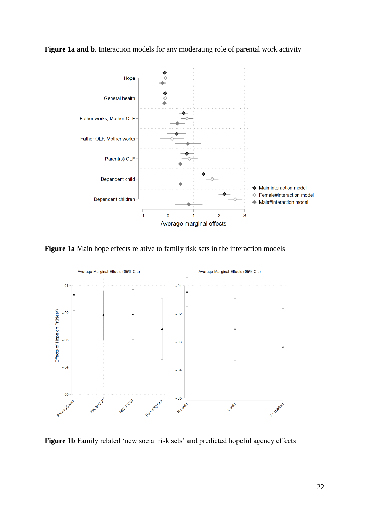## Figure 1a and b. Interaction models for any moderating role of parental work activity



**Figure 1a** Main hope effects relative to family risk sets in the interaction models



**Figure 1b** Family related 'new social risk sets' and predicted hopeful agency effects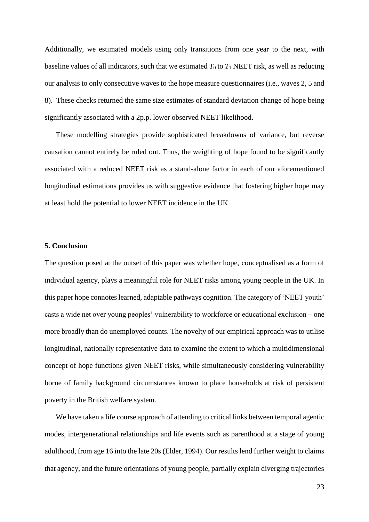Additionally, we estimated models using only transitions from one year to the next, with baseline values of all indicators, such that we estimated  $T_0$  to  $T_1$  NEET risk, as well as reducing our analysis to only consecutive waves to the hope measure questionnaires (i.e., waves 2, 5 and 8). These checks returned the same size estimates of standard deviation change of hope being significantly associated with a 2p.p. lower observed NEET likelihood.

These modelling strategies provide sophisticated breakdowns of variance, but reverse causation cannot entirely be ruled out. Thus, the weighting of hope found to be significantly associated with a reduced NEET risk as a stand-alone factor in each of our aforementioned longitudinal estimations provides us with suggestive evidence that fostering higher hope may at least hold the potential to lower NEET incidence in the UK.

#### **5. Conclusion**

The question posed at the outset of this paper was whether hope, conceptualised as a form of individual agency, plays a meaningful role for NEET risks among young people in the UK. In this paper hope connotes learned, adaptable pathways cognition. The category of 'NEET youth' casts a wide net over young peoples' vulnerability to workforce or educational exclusion – one more broadly than do unemployed counts. The novelty of our empirical approach was to utilise longitudinal, nationally representative data to examine the extent to which a multidimensional concept of hope functions given NEET risks, while simultaneously considering vulnerability borne of family background circumstances known to place households at risk of persistent poverty in the British welfare system.

We have taken a life course approach of attending to critical links between temporal agentic modes, intergenerational relationships and life events such as parenthood at a stage of young adulthood, from age 16 into the late 20s (Elder, 1994). Our results lend further weight to claims that agency, and the future orientations of young people, partially explain diverging trajectories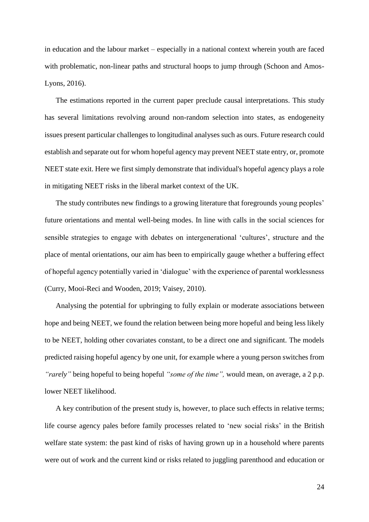in education and the labour market – especially in a national context wherein youth are faced with problematic, non-linear paths and structural hoops to jump through (Schoon and Amos-Lyons, 2016).

The estimations reported in the current paper preclude causal interpretations. This study has several limitations revolving around non-random selection into states, as endogeneity issues present particular challenges to longitudinal analyses such as ours. Future research could establish and separate out for whom hopeful agency may prevent NEET state entry, or, promote NEET state exit. Here we first simply demonstrate that individual's hopeful agency plays a role in mitigating NEET risks in the liberal market context of the UK.

The study contributes new findings to a growing literature that foregrounds young peoples' future orientations and mental well-being modes. In line with calls in the social sciences for sensible strategies to engage with debates on intergenerational 'cultures', structure and the place of mental orientations, our aim has been to empirically gauge whether a buffering effect of hopeful agency potentially varied in 'dialogue' with the experience of parental worklessness (Curry, Mooi-Reci and Wooden, 2019; Vaisey, 2010).

Analysing the potential for upbringing to fully explain or moderate associations between hope and being NEET, we found the relation between being more hopeful and being less likely to be NEET, holding other covariates constant, to be a direct one and significant. The models predicted raising hopeful agency by one unit, for example where a young person switches from *"rarely"* being hopeful to being hopeful *"some of the time",* would mean, on average, a 2 p.p. lower NEET likelihood.

A key contribution of the present study is, however, to place such effects in relative terms; life course agency pales before family processes related to 'new social risks' in the British welfare state system: the past kind of risks of having grown up in a household where parents were out of work and the current kind or risks related to juggling parenthood and education or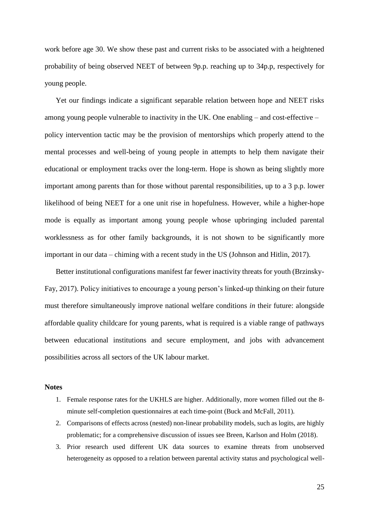work before age 30. We show these past and current risks to be associated with a heightened probability of being observed NEET of between 9p.p. reaching up to 34p.p, respectively for young people.

Yet our findings indicate a significant separable relation between hope and NEET risks among young people vulnerable to inactivity in the UK. One enabling – and cost-effective – policy intervention tactic may be the provision of mentorships which properly attend to the mental processes and well-being of young people in attempts to help them navigate their educational or employment tracks over the long-term. Hope is shown as being slightly more important among parents than for those without parental responsibilities, up to a 3 p.p. lower likelihood of being NEET for a one unit rise in hopefulness. However, while a higher-hope mode is equally as important among young people whose upbringing included parental worklessness as for other family backgrounds, it is not shown to be significantly more important in our data – chiming with a recent study in the US (Johnson and Hitlin, 2017).

Better institutional configurations manifest far fewer inactivity threats for youth (Brzinsky-Fay, 2017). Policy initiatives to encourage a young person's linked-up thinking *on* their future must therefore simultaneously improve national welfare conditions *in* their future: alongside affordable quality childcare for young parents, what is required is a viable range of pathways between educational institutions and secure employment, and jobs with advancement possibilities across all sectors of the UK labour market.

#### **Notes**

- 1. Female response rates for the UKHLS are higher. Additionally, more women filled out the 8 minute self-completion questionnaires at each time-point (Buck and McFall, 2011).
- 2. Comparisons of effects across (nested) non-linear probability models, such as logits, are highly problematic; for a comprehensive discussion of issues see Breen, Karlson and Holm (2018).
- 3. Prior research used different UK data sources to examine threats from unobserved heterogeneity as opposed to a relation between parental activity status and psychological well-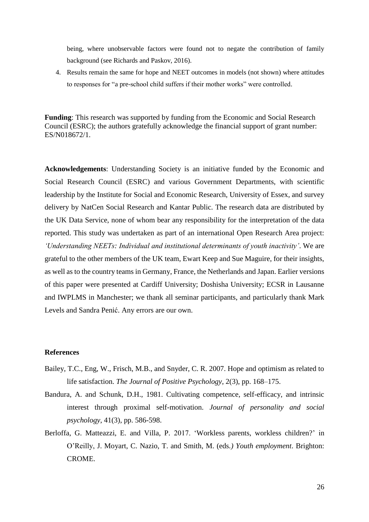being, where unobservable factors were found not to negate the contribution of family background (see Richards and Paskov, 2016).

4. Results remain the same for hope and NEET outcomes in models (not shown) where attitudes to responses for "a pre-school child suffers if their mother works" were controlled.

**Funding**: This research was supported by funding from the Economic and Social Research Council (ESRC); the authors gratefully acknowledge the financial support of grant number: ES/N018672/1.

**Acknowledgements**: Understanding Society is an initiative funded by the Economic and Social Research Council (ESRC) and various Government Departments, with scientific leadership by the Institute for Social and Economic Research, University of Essex, and survey delivery by NatCen Social Research and Kantar Public. The research data are distributed by the UK Data Service, none of whom bear any responsibility for the interpretation of the data reported. This study was undertaken as part of an international Open Research Area project: *'Understanding NEETs: Individual and institutional determinants of youth inactivity'*. We are grateful to the other members of the UK team, Ewart Keep and Sue Maguire, for their insights, as well as to the country teams in Germany, France, the Netherlands and Japan. Earlier versions of this paper were presented at Cardiff University; Doshisha University; ECSR in Lausanne and IWPLMS in Manchester; we thank all seminar participants, and particularly thank Mark Levels and Sandra Penić. Any errors are our own.

## **References**

- Bailey, T.C., Eng, W., Frisch, M.B., and Snyder, C. R. 2007. Hope and optimism as related to life satisfaction. *The Journal of Positive Psychology*, 2(3), pp. 168–175.
- Bandura, A. and Schunk, D.H., 1981. Cultivating competence, self-efficacy, and intrinsic interest through proximal self-motivation. *Journal of personality and social psychology*, 41(3), pp. 586-598.
- Berloffa, G. Matteazzi, E. and Villa, P. 2017. 'Workless parents, workless children?' in O'Reilly, J. Moyart, C. Nazio, T. and Smith, M. (eds*.) Youth employment*. Brighton: CROME.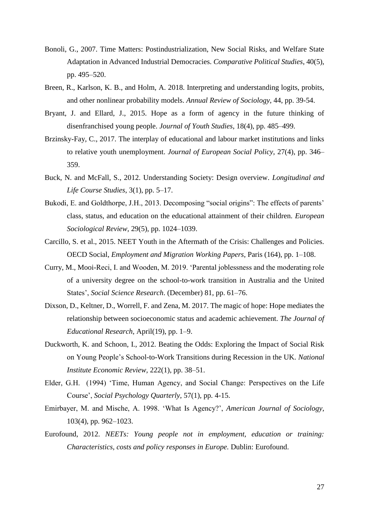- Bonoli, G., 2007. Time Matters: Postindustrialization, New Social Risks, and Welfare State Adaptation in Advanced Industrial Democracies. *Comparative Political Studies*, 40(5), pp. 495–520.
- Breen, R., Karlson, K. B., and Holm, A. 2018. Interpreting and understanding logits, probits, and other nonlinear probability models. *Annual Review of Sociology*, 44, pp. 39-54.
- Bryant, J. and Ellard, J., 2015. Hope as a form of agency in the future thinking of disenfranchised young people. *Journal of Youth Studies*, 18(4), pp. 485–499.
- Brzinsky-Fay, C., 2017. The interplay of educational and labour market institutions and links to relative youth unemployment. *Journal of European Social Policy*, 27(4), pp. 346– 359.
- Buck, N. and McFall, S., 2012. Understanding Society: Design overview. *Longitudinal and Life Course Studies*, 3(1), pp. 5–17.
- Bukodi, E. and Goldthorpe, J.H., 2013. Decomposing "social origins": The effects of parents' class, status, and education on the educational attainment of their children. *European Sociological Review,* 29(5), pp. 1024–1039.
- Carcillo, S. et al., 2015. NEET Youth in the Aftermath of the Crisis: Challenges and Policies. OECD Social, *Employment and Migration Working Papers*, Paris (164), pp. 1–108.
- Curry, M., Mooi-Reci, I. and Wooden, M. 2019. 'Parental joblessness and the moderating role of a university degree on the school-to-work transition in Australia and the United States', *Social Science Research*. (December) 81, pp. 61–76.
- Dixson, D., Keltner, D., Worrell, F. and Zena, M. 2017. The magic of hope: Hope mediates the relationship between socioeconomic status and academic achievement. *The Journal of Educational Research*, April(19), pp. 1–9.
- Duckworth, K. and Schoon, I., 2012. Beating the Odds: Exploring the Impact of Social Risk on Young People's School-to-Work Transitions during Recession in the UK. *National Institute Economic Review,* 222(1), pp. 38–51.
- Elder, G.H. (1994) 'Time, Human Agency, and Social Change: Perspectives on the Life Course', *Social Psychology Quarterly*, 57(1), pp. 4-15.
- Emirbayer, M. and Mische, A. 1998. 'What Is Agency?', *American Journal of Sociology*, 103(4), pp. 962–1023.
- Eurofound, 2012. *NEETs: Young people not in employment, education or training: Characteristics, costs and policy responses in Europe.* Dublin: Eurofound.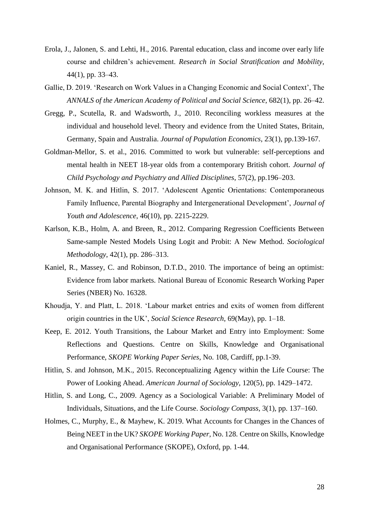- Erola, J., Jalonen, S. and Lehti, H., 2016. Parental education, class and income over early life course and children's achievement. *Research in Social Stratification and Mobility*, 44(1), pp. 33–43.
- Gallie, D. 2019. 'Research on Work Values in a Changing Economic and Social Context', The *ANNALS of the American Academy of Political and Social Science*, 682(1), pp. 26–42.
- Gregg, P., Scutella, R. and Wadsworth, J., 2010. Reconciling workless measures at the individual and household level. Theory and evidence from the United States, Britain, Germany, Spain and Australia. *Journal of Population Economics*, 23(1), pp.139-167.
- Goldman-Mellor, S. et al., 2016. Committed to work but vulnerable: self-perceptions and mental health in NEET 18-year olds from a contemporary British cohort. *Journal of Child Psychology and Psychiatry and Allied Disciplines*, 57(2), pp.196–203.
- Johnson, M. K. and Hitlin, S. 2017. 'Adolescent Agentic Orientations: Contemporaneous Family Influence, Parental Biography and Intergenerational Development', *Journal of Youth and Adolescence*, 46(10), pp. 2215-2229.
- Karlson, K.B., Holm, A. and Breen, R., 2012. Comparing Regression Coefficients Between Same-sample Nested Models Using Logit and Probit: A New Method. *Sociological Methodology*, 42(1), pp. 286–313.
- Kaniel, R., Massey, C. and Robinson, D.T.D., 2010. The importance of being an optimist: Evidence from labor markets. National Bureau of Economic Research Working Paper Series (NBER) No. 16328.
- Khoudja, Y. and Platt, L. 2018. 'Labour market entries and exits of women from different origin countries in the UK', *Social Science Research*, 69(May), pp. 1–18.
- Keep, E. 2012. Youth Transitions, the Labour Market and Entry into Employment: Some Reflections and Questions. Centre on Skills, Knowledge and Organisational Performance, *SKOPE Working Paper Series*, No. 108, Cardiff, pp.1-39.
- Hitlin, S. and Johnson, M.K., 2015. Reconceptualizing Agency within the Life Course: The Power of Looking Ahead. *American Journal of Sociology*, 120(5), pp. 1429–1472.
- Hitlin, S. and Long, C., 2009. Agency as a Sociological Variable: A Preliminary Model of Individuals, Situations, and the Life Course. *Sociology Compass,* 3(1), pp. 137–160.
- Holmes, C., Murphy, E., & Mayhew, K. 2019. What Accounts for Changes in the Chances of Being NEET in the UK? *SKOPE Working Paper,* No. 128. Centre on Skills, Knowledge and Organisational Performance (SKOPE), Oxford, pp. 1-44.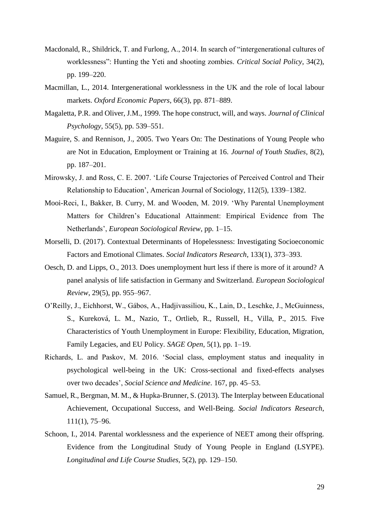- Macdonald, R., Shildrick, T. and Furlong, A., 2014. In search of "intergenerational cultures of worklessness": Hunting the Yeti and shooting zombies. *Critical Social Policy*, 34(2), pp. 199–220.
- Macmillan, L., 2014. Intergenerational worklessness in the UK and the role of local labour markets. *Oxford Economic Papers*, 66(3), pp. 871–889.
- Magaletta, P.R. and Oliver, J.M., 1999. The hope construct, will, and ways. *Journal of Clinical Psychology*, 55(5), pp. 539–551.
- Maguire, S. and Rennison, J., 2005. Two Years On: The Destinations of Young People who are Not in Education, Employment or Training at 16. *Journal of Youth Studies*, 8(2), pp. 187–201.
- Mirowsky, J. and Ross, C. E. 2007. 'Life Course Trajectories of Perceived Control and Their Relationship to Education', American Journal of Sociology, 112(5), 1339–1382.
- Mooi-Reci, I., Bakker, B. Curry, M. and Wooden, M. 2019. 'Why Parental Unemployment Matters for Children's Educational Attainment: Empirical Evidence from The Netherlands', *European Sociological Review*, pp. 1–15.
- Morselli, D. (2017). Contextual Determinants of Hopelessness: Investigating Socioeconomic Factors and Emotional Climates. *Social Indicators Research*, 133(1), 373–393.
- Oesch, D. and Lipps, O., 2013. Does unemployment hurt less if there is more of it around? A panel analysis of life satisfaction in Germany and Switzerland. *European Sociological Review*, 29(5), pp. 955–967.
- O'Reilly, J., Eichhorst, W., Gábos, A., Hadjivassiliou, K., Lain, D., Leschke, J., McGuinness, S., Kureková, L. M., Nazio, T., Ortlieb, R., Russell, H., Villa, P., 2015. Five Characteristics of Youth Unemployment in Europe: Flexibility, Education, Migration, Family Legacies, and EU Policy. *SAGE Open*, 5(1), pp. 1–19.
- Richards, L. and Paskov, M. 2016. 'Social class, employment status and inequality in psychological well-being in the UK: Cross-sectional and fixed-effects analyses over two decades', *Social Science and Medicine*. 167, pp. 45–53.
- Samuel, R., Bergman, M. M., & Hupka-Brunner, S. (2013). The Interplay between Educational Achievement, Occupational Success, and Well-Being. *Social Indicators Research*, 111(1), 75–96.
- Schoon, I., 2014. Parental worklessness and the experience of NEET among their offspring. Evidence from the Longitudinal Study of Young People in England (LSYPE). *Longitudinal and Life Course Studies*, 5(2), pp. 129–150.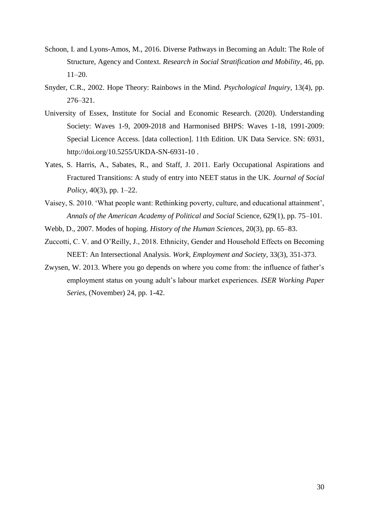- Schoon, I. and Lyons-Amos, M., 2016. Diverse Pathways in Becoming an Adult: The Role of Structure, Agency and Context*. Research in Social Stratification and Mobility*, 46, pp. 11–20.
- Snyder, C.R., 2002. Hope Theory: Rainbows in the Mind. *Psychological Inquiry*, 13(4), pp. 276–321.
- University of Essex, Institute for Social and Economic Research. (2020). Understanding Society: Waves 1-9, 2009-2018 and Harmonised BHPS: Waves 1-18, 1991-2009: Special Licence Access. [data collection]. 11th Edition. UK Data Service. SN: 6931, http://doi.org/10.5255/UKDA-SN-6931-10 .
- Yates, S. Harris, A., Sabates, R., and Staff, J. 2011. Early Occupational Aspirations and Fractured Transitions: A study of entry into NEET status in the UK. *Journal of Social Policy,* 40(3), pp. 1–22.
- Vaisey, S. 2010. 'What people want: Rethinking poverty, culture, and educational attainment', *Annals of the American Academy of Political and Social* Science, 629(1), pp. 75–101.
- Webb, D., 2007. Modes of hoping. *History of the Human Sciences*, 20(3), pp. 65–83.
- Zuccotti, C. V. and O'Reilly, J., 2018. Ethnicity, Gender and Household Effects on Becoming NEET: An Intersectional Analysis. *Work, Employment and Society*, 33(3), 351-373.
- Zwysen, W. 2013. Where you go depends on where you come from: the influence of father's employment status on young adult's labour market experiences. *ISER Working Paper Series*, (November) 24, pp. 1-42.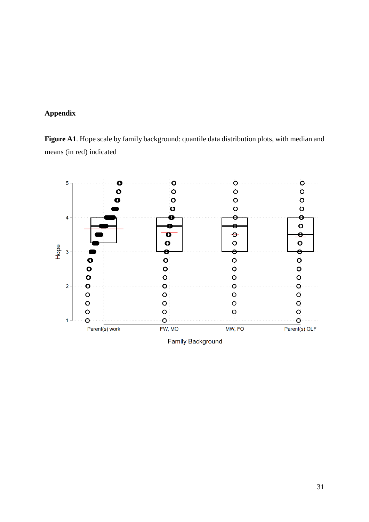## **Appendix**

**Figure A1**. Hope scale by family background: quantile data distribution plots, with median and means (in red) indicated